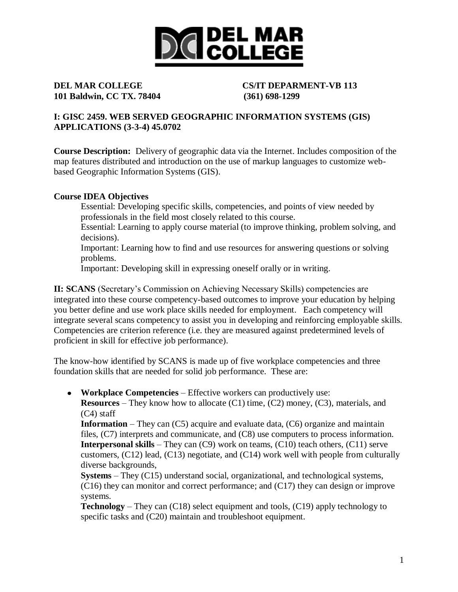

**101 Baldwin, CC TX. 78404 (361) 698-1299**

# **DEL MAR COLLEGE CS/IT DEPARMENT-VB 113**

# **I: GISC 2459. WEB SERVED GEOGRAPHIC INFORMATION SYSTEMS (GIS) APPLICATIONS (3-3-4) 45.0702**

**Course Description:** Delivery of geographic data via the Internet. Includes composition of the map features distributed and introduction on the use of markup languages to customize webbased Geographic Information Systems (GIS).

# **Course IDEA Objectives**

Essential: Developing specific skills, competencies, and points of view needed by professionals in the field most closely related to this course.

Essential: Learning to apply course material (to improve thinking, problem solving, and decisions).

Important: Learning how to find and use resources for answering questions or solving problems.

Important: Developing skill in expressing oneself orally or in writing.

**II: SCANS** (Secretary's Commission on Achieving Necessary Skills) competencies are integrated into these course competency-based outcomes to improve your education by helping you better define and use work place skills needed for employment. Each competency will integrate several scans competency to assist you in developing and reinforcing employable skills. Competencies are criterion reference (i.e. they are measured against predetermined levels of proficient in skill for effective job performance).

The know-how identified by SCANS is made up of five workplace competencies and three foundation skills that are needed for solid job performance. These are:

**Workplace Competencies** – Effective workers can productively use: **Resources** – They know how to allocate (C1) time, (C2) money, (C3), materials, and

(C4) staff

**Information** – They can (C5) acquire and evaluate data, (C6) organize and maintain files, (C7) interprets and communicate, and (C8) use computers to process information. **Interpersonal skills** – They can (C9) work on teams, (C10) teach others, (C11) serve customers, (C12) lead, (C13) negotiate, and (C14) work well with people from culturally diverse backgrounds,

**Systems** – They (C15) understand social, organizational, and technological systems, (C16) they can monitor and correct performance; and (C17) they can design or improve systems.

**Technology** – They can (C18) select equipment and tools, (C19) apply technology to specific tasks and (C20) maintain and troubleshoot equipment.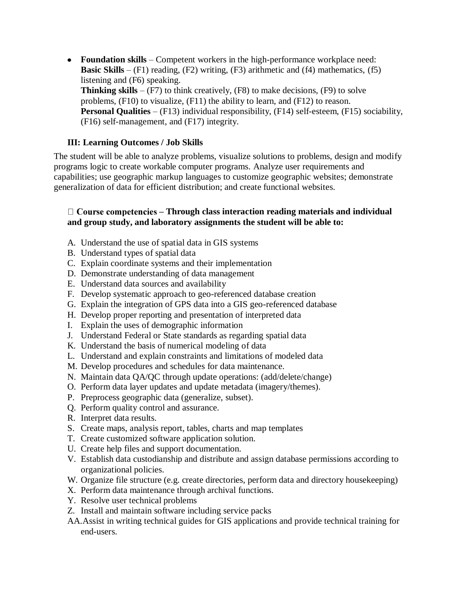**Foundation skills** – Competent workers in the high-performance workplace need: **Basic Skills** –  $(F1)$  reading,  $(F2)$  writing,  $(F3)$  arithmetic and  $(f4)$  mathematics,  $(f5)$ listening and (F6) speaking. **Thinking skills** –  $(F7)$  to think creatively,  $(F8)$  to make decisions,  $(F9)$  to solve problems, (F10) to visualize, (F11) the ability to learn, and (F12) to reason. **Personal Qualities** – (F13) individual responsibility, (F14) self-esteem, (F15) sociability, (F16) self-management, and (F17) integrity.

# **III: Learning Outcomes / Job Skills**

The student will be able to analyze problems, visualize solutions to problems, design and modify programs logic to create workable computer programs. Analyze user requirements and capabilities; use geographic markup languages to customize geographic websites; demonstrate generalization of data for efficient distribution; and create functional websites.

### **– Through class interaction reading materials and individual and group study, and laboratory assignments the student will be able to:**

- A. Understand the use of spatial data in GIS systems
- B. Understand types of spatial data
- C. Explain coordinate systems and their implementation
- D. Demonstrate understanding of data management
- E. Understand data sources and availability
- F. Develop systematic approach to geo-referenced database creation
- G. Explain the integration of GPS data into a GIS geo-referenced database
- H. Develop proper reporting and presentation of interpreted data
- I. Explain the uses of demographic information
- J. Understand Federal or State standards as regarding spatial data
- K. Understand the basis of numerical modeling of data
- L. Understand and explain constraints and limitations of modeled data
- M. Develop procedures and schedules for data maintenance.
- N. Maintain data QA/QC through update operations: (add/delete/change)
- O. Perform data layer updates and update metadata (imagery/themes).
- P. Preprocess geographic data (generalize, subset).
- Q. Perform quality control and assurance.
- R. Interpret data results.
- S. Create maps, analysis report, tables, charts and map templates
- T. Create customized software application solution.
- U. Create help files and support documentation.
- V. Establish data custodianship and distribute and assign database permissions according to organizational policies.
- W. Organize file structure (e.g. create directories, perform data and directory housekeeping)
- X. Perform data maintenance through archival functions.
- Y. Resolve user technical problems
- Z. Install and maintain software including service packs
- AA.Assist in writing technical guides for GIS applications and provide technical training for end-users.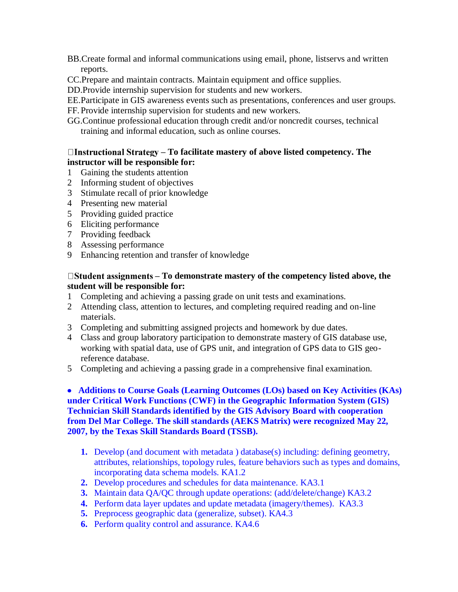- BB.Create formal and informal communications using email, phone, listservs and written reports.
- CC.Prepare and maintain contracts. Maintain equipment and office supplies.
- DD.Provide internship supervision for students and new workers.
- EE.Participate in GIS awareness events such as presentations, conferences and user groups.
- FF. Provide internship supervision for students and new workers.
- GG.Continue professional education through credit and/or noncredit courses, technical training and informal education, such as online courses.

# **– To facilitate mastery of above listed competency. The instructor will be responsible for:**

- 1 Gaining the students attention
- 2 Informing student of objectives
- 3 Stimulate recall of prior knowledge
- 4 Presenting new material
- 5 Providing guided practice
- 6 Eliciting performance
- 7 Providing feedback
- 8 Assessing performance
- 9 Enhancing retention and transfer of knowledge

### □ **Student assignments – To demonstrate mastery of the competency listed above, the student will be responsible for:**

- 1 Completing and achieving a passing grade on unit tests and examinations.
- 2 Attending class, attention to lectures, and completing required reading and on-line materials.
- 3 Completing and submitting assigned projects and homework by due dates.
- 4 Class and group laboratory participation to demonstrate mastery of GIS database use, working with spatial data, use of GPS unit, and integration of GPS data to GIS georeference database.
- 5 Completing and achieving a passing grade in a comprehensive final examination.

 **Additions to Course Goals (Learning Outcomes (LOs) based on Key Activities (KAs) under Critical Work Functions (CWF) in the Geographic Information System (GIS) Technician Skill Standards identified by the GIS Advisory Board with cooperation from Del Mar College. The skill standards (AEKS Matrix) were recognized May 22, 2007, by the Texas Skill Standards Board (TSSB).** 

- **1.** Develop (and document with metadata ) database(s) including: defining geometry, attributes, relationships, topology rules, feature behaviors such as types and domains, incorporating data schema models. KA1.2
- **2.** Develop procedures and schedules for data maintenance. KA3.1
- **3.** Maintain data QA/QC through update operations: (add/delete/change) KA3.2
- **4.** Perform data layer updates and update metadata (imagery/themes). KA3.3
- **5.** Preprocess geographic data (generalize, subset). KA4.3
- **6.** Perform quality control and assurance. KA4.6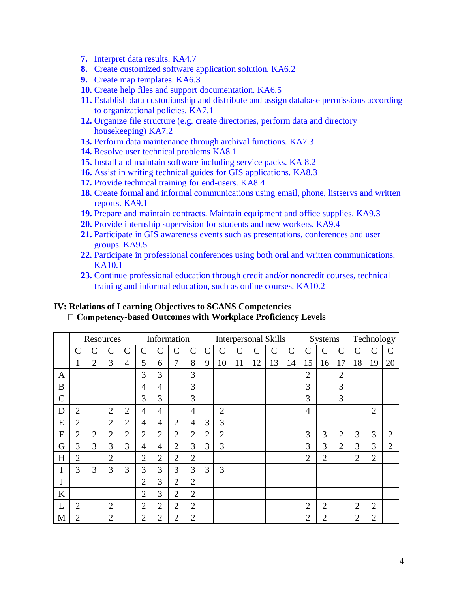- **7.** Interpret data results. KA4.7
- **8.** Create customized software application solution. KA6.2
- **9.** Create map templates. KA6.3
- **10.** Create help files and support documentation. KA6.5
- **11.** Establish data custodianship and distribute and assign database permissions according to organizational policies. KA7.1
- **12.** Organize file structure (e.g. create directories, perform data and directory housekeeping) KA7.2
- **13.** Perform data maintenance through archival functions. KA7.3
- **14.** Resolve user technical problems KA8.1
- **15.** Install and maintain software including service packs. KA 8.2
- **16.** Assist in writing technical guides for GIS applications. KA8.3
- **17.** Provide technical training for end-users. KA8.4
- **18.** Create formal and informal communications using email, phone, listservs and written reports. KA9.1
- **19.** Prepare and maintain contracts. Maintain equipment and office supplies. KA9.3
- **20.** Provide internship supervision for students and new workers. KA9.4
- **21.** Participate in GIS awareness events such as presentations, conferences and user groups. KA9.5
- **22.** Participate in professional conferences using both oral and written communications. KA10.1
- **23.** Continue professional education through credit and/or noncredit courses, technical training and informal education, such as online courses. KA10.2

#### **IV: Relations of Learning Objectives to SCANS Competencies** □ Competency-based Outcomes with Workplace Proficiency Levels

|                | Resources      |                |                |                | Information    |                |                |                | <b>Interpersonal Skills</b> |                |    |             |              |              |                    | Systems        |                |                | Technology     |                |  |
|----------------|----------------|----------------|----------------|----------------|----------------|----------------|----------------|----------------|-----------------------------|----------------|----|-------------|--------------|--------------|--------------------|----------------|----------------|----------------|----------------|----------------|--|
|                | $\mathcal{C}$  | C              | C              | $\mathsf{C}$   | $\mathsf{C}$   | С              | $\mathsf{C}$   | $\mathsf C$    | $\mathsf{C}$                | $\mathsf C$    | C  | $\mathbf C$ | $\mathsf{C}$ | $\mathsf{C}$ | $\overline{\rm C}$ | C              | $\mathsf{C}$   | C              | $\overline{C}$ |                |  |
|                | 1              | 2              | 3              | 4              | 5              | 6              | $\overline{7}$ | 8              | 9                           | 10             | 11 | 12          | 13           | 14           | 15                 | 16             | 17             | 18             | 19             | 20             |  |
| A              |                |                |                |                | 3              | 3              |                | 3              |                             |                |    |             |              |              | $\overline{2}$     |                | $\overline{2}$ |                |                |                |  |
| B              |                |                |                |                | 4              | 4              |                | 3              |                             |                |    |             |              |              | 3                  |                | 3              |                |                |                |  |
| $\mathcal{C}$  |                |                |                |                | 3              | 3              |                | 3              |                             |                |    |             |              |              | 3                  |                | 3              |                |                |                |  |
| D              | $\overline{2}$ |                | $\overline{2}$ | $\overline{2}$ | 4              | 4              |                | 4              |                             | $\overline{2}$ |    |             |              |              | 4                  |                |                |                | $\overline{2}$ |                |  |
| E              | $\overline{2}$ |                | $\overline{2}$ | $\overline{2}$ | 4              | 4              | $\overline{2}$ | 4              | 3                           | 3              |    |             |              |              |                    |                |                |                |                |                |  |
| $\overline{F}$ | $\overline{2}$ | $\overline{2}$ | $\overline{2}$ | $\overline{2}$ | $\overline{2}$ | $\overline{2}$ | $\overline{2}$ | $\overline{2}$ | $\overline{2}$              | $\overline{2}$ |    |             |              |              | 3                  | 3              | $\overline{2}$ | 3              | 3              | $\overline{2}$ |  |
| G              | 3              | 3              | 3              | 3              | 4              | 4              | $\overline{2}$ | 3              | 3                           | 3              |    |             |              |              | 3                  | 3              | $\overline{2}$ | 3              | 3              | $\overline{2}$ |  |
| H              | $\overline{2}$ |                | $\overline{2}$ |                | $\overline{2}$ | $\overline{2}$ | $\overline{2}$ | $\overline{2}$ |                             |                |    |             |              |              | $\overline{2}$     | $\overline{2}$ |                | $\overline{2}$ | $\overline{2}$ |                |  |
| I              | 3              | 3              | 3              | 3              | 3              | 3              | 3              | 3              | 3                           | 3              |    |             |              |              |                    |                |                |                |                |                |  |
| J              |                |                |                |                | $\overline{2}$ | 3              | $\overline{2}$ | $\overline{2}$ |                             |                |    |             |              |              |                    |                |                |                |                |                |  |
| $\bf K$        |                |                |                |                | $\overline{2}$ | 3              | $\overline{2}$ | $\overline{2}$ |                             |                |    |             |              |              |                    |                |                |                |                |                |  |
| L              | $\overline{2}$ |                | $\overline{2}$ |                | $\overline{2}$ | $\overline{2}$ | $\overline{2}$ | $\overline{2}$ |                             |                |    |             |              |              | $\overline{2}$     | $\overline{2}$ |                | $\overline{2}$ | $\overline{2}$ |                |  |
| M              | $\overline{2}$ |                | $\overline{2}$ |                | $\overline{2}$ | $\overline{2}$ | $\overline{2}$ | $\overline{2}$ |                             |                |    |             |              |              | $\overline{2}$     | $\overline{2}$ |                | $\overline{2}$ | $\overline{2}$ |                |  |